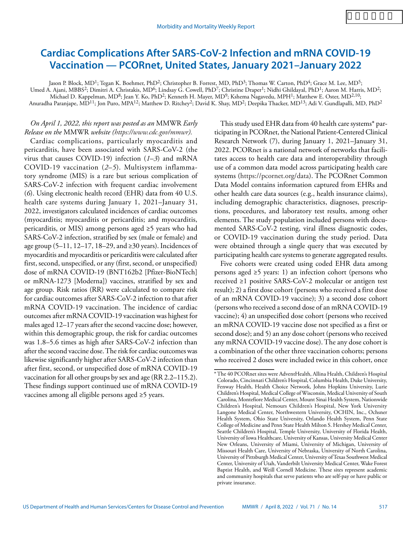# **Cardiac Complications After SARS-CoV-2 Infection and mRNA COVID-19 Vaccination — PCORnet, United States, January 2021–January 2022**

Jason P. Block, MD<sup>1</sup>; Tegan K. Boehmer, PhD<sup>2</sup>; Christopher B. Forrest, MD, PhD<sup>3</sup>; Thomas W. Carton, PhD<sup>4</sup>; Grace M. Lee, MD<sup>5</sup>;

Umed A. Ajani, MBBS<sup>2</sup>; Dimitri A. Christakis, MD<sup>6</sup>; Lindsay G. Cowell, PhD<sup>7</sup>; Christine Draper<sup>1</sup>; Nidhi Ghildayal, PhD<sup>1</sup>; Aaron M. Harris, MD<sup>2</sup>; Michael D. Kappelman, MD<sup>8</sup>; Jean Y. Ko, PhD<sup>2</sup>; Kenneth H. Mayer, MD<sup>9</sup>; Kshema Nagavedu, MPH<sup>1</sup>; Matthew E. Oster, MD<sup>2,10</sup>;

Anuradha Paranjape, MD<sup>11</sup>; Jon Puro, MPA<sup>12</sup>; Matthew D. Ritchey<sup>2</sup>; David K. Shay, MD<sup>2</sup>; Deepika Thacker, MD<sup>13</sup>; Adi V. Gundlapalli, MD, PhD<sup>2</sup>

# *On April 1, 2022, this report was posted as an* MMWR *Early Release on the* MMWR *website [\(https://www.cdc.gov/mmwr\)](https://www.cdc.gov/mmwr).*

Cardiac complications, particularly myocarditis and pericarditis, have been associated with SARS-CoV-2 (the virus that causes COVID-19) infection (*1*–*3*) and mRNA COVID-19 vaccination (*2*–*5*). Multisystem inflammatory syndrome (MIS) is a rare but serious complication of SARS-CoV-2 infection with frequent cardiac involvement (*6*). Using electronic health record (EHR) data from 40 U.S. health care systems during January 1, 2021–January 31, 2022, investigators calculated incidences of cardiac outcomes (myocarditis; myocarditis or pericarditis; and myocarditis, pericarditis, or MIS) among persons aged ≥5 years who had SARS-CoV-2 infection, stratified by sex (male or female) and age group (5–11, 12–17, 18–29, and  $\geq$ 30 years). Incidences of myocarditis and myocarditis or pericarditis were calculated after first, second, unspecified, or any (first, second, or unspecified) dose of mRNA COVID-19 (BNT162b2 [Pfizer-BioNTech] or mRNA-1273 [Moderna]) vaccines, stratified by sex and age group. Risk ratios (RR) were calculated to compare risk for cardiac outcomes after SARS-CoV-2 infection to that after mRNA COVID-19 vaccination. The incidence of cardiac outcomes after mRNA COVID-19 vaccination was highest for males aged 12–17 years after the second vaccine dose; however, within this demographic group, the risk for cardiac outcomes was 1.8–5.6 times as high after SARS-CoV-2 infection than after the second vaccine dose. The risk for cardiac outcomes was likewise significantly higher after SARS-CoV-2 infection than after first, second, or unspecified dose of mRNA COVID-19 vaccination for all other groups by sex and age (RR 2.2–115.2). These findings support continued use of mRNA COVID-19 vaccines among all eligible persons aged ≥5 years.

This study used EHR data from 40 health care systems\* participating in PCORnet, the National Patient-Centered Clinical Research Network (7), during January 1, 2021–January 31, 2022. PCORnet is a national network of networks that facilitates access to health care data and interoperability through use of a common data model across participating health care systems [\(https://pcornet.org/data](https://pcornet.org/data)). The PCORnet Common Data Model contains information captured from EHRs and other health care data sources (e.g., health insurance claims), including demographic characteristics, diagnoses, prescriptions, procedures, and laboratory test results, among other elements. The study population included persons with documented SARS-CoV-2 testing, viral illness diagnostic codes, or COVID-19 vaccination during the study period. Data were obtained through a single query that was executed by participating health care systems to generate aggregated results.

Five cohorts were created using coded EHR data among persons aged  $\geq$ 5 years: 1) an infection cohort (persons who received ≥1 positive SARS-CoV-2 molecular or antigen test result); 2) a first dose cohort (persons who received a first dose of an mRNA COVID-19 vaccine); 3) a second dose cohort (persons who received a second dose of an mRNA COVID-19 vaccine); 4) an unspecified dose cohort (persons who received an mRNA COVID-19 vaccine dose not specified as a first or second dose); and 5) an any dose cohort (persons who received any mRNA COVID-19 vaccine dose). The any dose cohort is a combination of the other three vaccination cohorts; persons who received 2 doses were included twice in this cohort, once

<sup>\*</sup> The 40 PCORnet sites were AdventHealth, Allina Health, Children's Hospital Colorado, Cincinnati Children's Hospital, Columbia Health, Duke University, Fenway Health, Health Choice Network, Johns Hopkins University, Lurie Children's Hospital, Medical College of Wisconsin, Medical University of South Carolina, Montefiore Medical Center, Mount Sinai Health System, Nationwide Children's Hospital, Nemours Children's Hospital, New York University Langone Medical Center, Northwestern University, OCHIN, Inc., Ochsner Health System, Ohio State University, Orlando Health System, Penn State College of Medicine and Penn State Health Milton S. Hershey Medical Center, Seattle Children's Hospital, Temple University, University of Florida Health, University of Iowa Healthcare, University of Kansas, University Medical Center New Orleans, University of Miami, University of Michigan, University of Missouri Health Care, University of Nebraska, University of North Carolina, University of Pittsburgh Medical Center, University of Texas Southwest Medical Center, University of Utah, Vanderbilt University Medical Center, Wake Forest Baptist Health, and Weill Cornell Medicine. These sites represent academic and community hospitals that serve patients who are self-pay or have public or private insurance.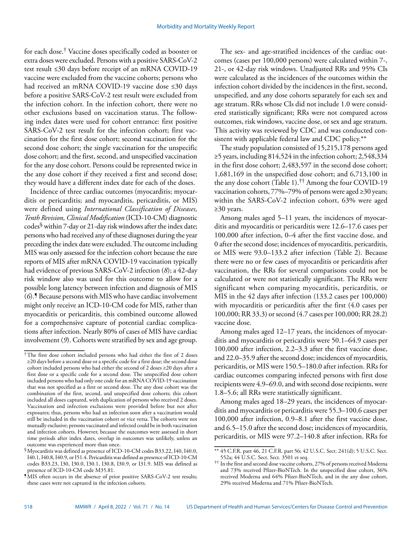for each dose.† Vaccine doses specifically coded as booster or extra doses were excluded. Persons with a positive SARS-CoV-2 test result ≤30 days before receipt of an mRNA COVID-19 vaccine were excluded from the vaccine cohorts; persons who had received an mRNA COVID-19 vaccine dose ≤30 days before a positive SARS-CoV-2 test result were excluded from the infection cohort. In the infection cohort, there were no other exclusions based on vaccination status. The following index dates were used for cohort entrance: first positive SARS-CoV-2 test result for the infection cohort; first vaccination for the first dose cohort; second vaccination for the second dose cohort; the single vaccination for the unspecific dose cohort; and the first, second, and unspecified vaccination for the any dose cohort. Persons could be represented twice in the any dose cohort if they received a first and second dose; they would have a different index date for each of the doses.

Incidence of three cardiac outcomes (myocarditis; myocarditis or pericarditis; and myocarditis, pericarditis, or MIS) were defined using *International Classification of Diseases, Tenth Revision, Clinical Modification* (ICD-10-CM) diagnostic codes§ within 7-day or 21-day risk windows after the index date; persons who had received any of these diagnoses during the year preceding the index date were excluded. The outcome including MIS was only assessed for the infection cohort because the rare reports of MIS after mRNA COVID-19 vaccination typically had evidence of previous SARS-CoV-2 infection (*8*); a 42-day risk window also was used for this outcome to allow for a possible long latency between infection and diagnosis of MIS (*6*).¶ Because persons with MIS who have cardiac involvement might only receive an ICD-10-CM code for MIS, rather than myocarditis or pericarditis, this combined outcome allowed for a comprehensive capture of potential cardiac complications after infection. Nearly 80% of cases of MIS have cardiac involvement (*9*). Cohorts were stratified by sex and age group.

The sex- and age-stratified incidences of the cardiac outcomes (cases per 100,000 persons) were calculated within 7-, 21-, or 42-day risk windows. Unadjusted RRs and 95% CIs were calculated as the incidences of the outcomes within the infection cohort divided by the incidences in the first, second, unspecified, and any dose cohorts separately for each sex and age stratum. RRs whose CIs did not include 1.0 were considered statistically significant; RRs were not compared across outcomes, risk windows, vaccine dose, or sex and age stratum. This activity was reviewed by CDC and was conducted consistent with applicable federal law and CDC policy.\*\*

The study population consisted of 15,215,178 persons aged ≥5 years, including 814,524 in the infection cohort; 2,548,334 in the first dose cohort; 2,483,597 in the second dose cohort; 1,681,169 in the unspecified dose cohort; and 6,713,100 in the any dose cohort (Table 1).†† Among the four COVID-19 vaccination cohorts, 77%–79% of persons were aged ≥30 years; within the SARS-CoV-2 infection cohort, 63% were aged ≥30 years.

Among males aged 5–11 years, the incidences of myocarditis and myocarditis or pericarditis were 12.6–17.6 cases per 100,000 after infection, 0–4 after the first vaccine dose, and 0 after the second dose; incidences of myocarditis, pericarditis, or MIS were 93.0–133.2 after infection (Table 2). Because there were no or few cases of myocarditis or pericarditis after vaccination, the RRs for several comparisons could not be calculated or were not statistically significant. The RRs were significant when comparing myocarditis, pericarditis, or MIS in the 42 days after infection (133.2 cases per 100,000) with myocarditis or pericarditis after the first (4.0 cases per 100,000; RR 33.3) or second (4.7 cases per 100,000; RR 28.2) vaccine dose.

Among males aged 12–17 years, the incidences of myocarditis and myocarditis or pericarditis were 50.1–64.9 cases per 100,000 after infection, 2.2–3.3 after the first vaccine dose, and 22.0–35.9 after the second dose; incidences of myocarditis, pericarditis, or MIS were 150.5–180.0 after infection. RRs for cardiac outcomes comparing infected persons with first dose recipients were 4.9–69.0, and with second dose recipients, were 1.8–5.6; all RRs were statistically significant.

Among males aged 18–29 years, the incidences of myocarditis and myocarditis or pericarditis were 55.3–100.6 cases per 100,000 after infection, 0.9–8.1 after the first vaccine dose, and 6.5–15.0 after the second dose; incidences of myocarditis, pericarditis, or MIS were 97.2–140.8 after infection. RRs for

<sup>&</sup>lt;sup>†</sup>The first dose cohort included persons who had either the first of 2 doses ≥20 days before a second dose or a specific code for a first dose; the second dose cohort included persons who had either the second of 2 doses ≥20 days after a first dose or a specific code for a second dose. The unspecified dose cohort included persons who had only one code for an mRNA COVID-19 vaccination that was not specified as a first or second dose. The any dose cohort was the combination of the first, second, and unspecified dose cohorts; this cohort included all doses captured, with duplication of persons who received 2 doses. Vaccination and infection exclusions were provided before but not after exposures; thus, persons who had an infection soon after a vaccination would still be included in the vaccination cohort or vice versa. The cohorts were not mutually exclusive; persons vaccinated and infected could be in both vaccination and infection cohorts. However, because the outcomes were assessed in short time periods after index dates, overlap in outcomes was unlikely, unless an outcome was experienced more than once.

<sup>§</sup>Myocarditis was defined as presence of ICD-10-CM codes B33.22, I40, I40.0, I40.1, I40.8, I40.9, or I51.4. Pericarditis was defined as presence of ICD-10-CM codes B33.23, I30, I30.0, I30.1, I30.8, I30.9, or I31.9. MIS was defined as presence of ICD-10-CM code M35.81.

<sup>¶</sup>MIS often occurs in the absence of prior positive SARS-CoV-2 test results; these cases were not captured in the infection cohorts.

<sup>\*\*</sup> 45 C.F.R. part 46, 21 C.F.R. part 56; 42 U.S.C. Sect. 241(d); 5 U.S.C. Sect. 552a; 44 U.S.C. Sect. Sect. 3501 et seq.

<sup>††</sup> In the first and second dose vaccine cohorts, 27% of persons received Moderna and 73% received Pfizer-BioNTech. In the unspecified dose cohort, 36% received Moderna and 64% Pfizer-BioNTech, and in the any dose cohort, 29% received Moderna and 71% Pfizer-BioNTech.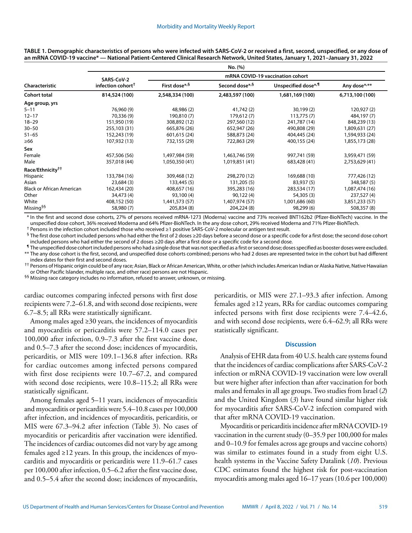|                                  | No. (%)                       |                                  |                 |                     |                 |  |  |  |  |  |
|----------------------------------|-------------------------------|----------------------------------|-----------------|---------------------|-----------------|--|--|--|--|--|
|                                  | SARS-CoV-2                    | mRNA COVID-19 vaccination cohort |                 |                     |                 |  |  |  |  |  |
| <b>Characteristic</b>            | infection cohort <sup>†</sup> | First dose*,§                    | Second dose*,§  | Unspecified dose*,¶ | Any dose*,**    |  |  |  |  |  |
| Cohort total                     | 814,524 (100)                 | 2,548,334 (100)                  | 2,483,597 (100) | 1,681,169 (100)     | 6,713,100 (100) |  |  |  |  |  |
| Age group, yrs                   |                               |                                  |                 |                     |                 |  |  |  |  |  |
| $5 - 11$                         | 76,960 (9)                    | 48,986 (2)                       | 41,742 (2)      | 30,199(2)           | 120,927 (2)     |  |  |  |  |  |
| $12 - 17$                        | 70,336 (9)                    | 190,810 (7)                      | 179,612 (7)     | 113,775(7)          | 484,197 (7)     |  |  |  |  |  |
| $18 - 29$                        | 151,950 (19)                  | 308,892 (12)                     | 297,560 (12)    | 241,787 (14)        | 848,239 (13)    |  |  |  |  |  |
| $30 - 50$                        | 255,103 (31)                  | 665,876 (26)                     | 652,947 (26)    | 490,808 (29)        | 1,809,631 (27)  |  |  |  |  |  |
| $51 - 65$                        | 152,243 (19)                  | 601,615 (24)                     | 588,873 (24)    | 404,445 (24)        | 1,594,933 (24)  |  |  |  |  |  |
| $\geq 66$                        | 107,932 (13)                  | 732,155 (29)                     | 722,863 (29)    | 400,155 (24)        | 1,855,173 (28)  |  |  |  |  |  |
| Sex                              |                               |                                  |                 |                     |                 |  |  |  |  |  |
| Female                           | 457,506 (56)                  | 1,497,984 (59)                   | 1,463,746 (59)  | 997,741 (59)        | 3,959,471 (59)  |  |  |  |  |  |
| Male                             | 357,018 (44)                  | 1,050,350 (41)                   | 1,019,851 (41)  | 683,428 (41)        | 2,753,629 (41)  |  |  |  |  |  |
| Race/Ethnicity <sup>††</sup>     |                               |                                  |                 |                     |                 |  |  |  |  |  |
| Hispanic                         | 133,784 (16)                  | 309,468 (12)                     | 298,270 (12)    | 169,688 (10)        | 777,426 (12)    |  |  |  |  |  |
| Asian                            | 23,684 (3)                    | 133,445 (5)                      | 131,205 (5)     | 83,937 (5)          | 348,587 (5)     |  |  |  |  |  |
| <b>Black or African American</b> | 162,434 (20)                  | 408,657 (16)                     | 395,283 (16)    | 283,534 (17)        | 1,087,474 (16)  |  |  |  |  |  |
| Other                            | 34,473 (4)                    | 93,100 (4)                       | 90,122 (4)      | 54,305 (3)          | 237,527 (4)     |  |  |  |  |  |
| White                            | 408,152 (50)                  | 1,441,573 (57)                   | 1,407,974 (57)  | 1,001,686 (60)      | 3,851,233 (57)  |  |  |  |  |  |
| Missing <sup>§§</sup>            | 58,980 (7)                    | 205,834 (8)                      | 204,224 (8)     | 98,299 (6)          | 508,357 (8)     |  |  |  |  |  |

**TABLE 1. Demographic characteristics of persons who were infected with SARS-CoV-2 or received a first, second, unspecified, or any dose of an mRNA COVID-19 vaccine\* — National Patient-Centered Clinical Research Network, United States, January 1, 2021–January 31, 2022**

\* In the first and second dose cohorts, 27% of persons received mRNA-1273 (Moderna) vaccine and 73% received BNT162b2 (Pfizer-BioNTech) vaccine. In the unspecified dose cohort, 36% received Moderna and 64% Pfizer-BioNTech. In the any dose cohort, 29% received Moderna and 71% Pfizer-BioNTech.

† Persons in the infection cohort included those who received ≥1 positive SARS-CoV-2 molecular or antigen test result.

§ The first dose cohort included persons who had either the first of 2 doses ≥20 days before a second dose or a specific code for a first dose; the second dose cohort included persons who had either the second of 2 doses ≥20 days after a first dose or a specific code for a second dose.

¶ The unspecified dose cohort included persons who had a single dose that was not specified as a first or second dose; doses specified as booster doses were excluded. \*\* The any dose cohort is the first, second, and unspecified dose cohorts combined; persons who had 2 doses are represented twice in the cohort but had different

index dates for their first and second doses.

†† Persons of Hispanic origin could be of any race; Asian, Black or African American, White, or other (which includes American Indian or Alaska Native, Native Hawaiian or Other Pacific Islander, multiple race, and other race) persons are not Hispanic.

<sup>§§</sup> Missing race category includes no information, refused to answer, unknown, or missing.

cardiac outcomes comparing infected persons with first dose recipients were 7.2–61.8, and with second dose recipients, were 6.7–8.5; all RRs were statistically significant.

Among males aged ≥30 years, the incidences of myocarditis and myocarditis or pericarditis were 57.2–114.0 cases per 100,000 after infection, 0.9–7.3 after the first vaccine dose, and 0.5–7.3 after the second dose; incidences of myocarditis, pericarditis, or MIS were 109.1–136.8 after infection. RRs for cardiac outcomes among infected persons compared with first dose recipients were 10.7–67.2, and compared with second dose recipients, were 10.8–115.2; all RRs were statistically significant.

Among females aged 5–11 years, incidences of myocarditis and myocarditis or pericarditis were 5.4–10.8 cases per 100,000 after infection, and incidences of myocarditis, pericarditis, or MIS were 67.3–94.2 after infection (Table 3). No cases of myocarditis or pericarditis after vaccination were identified. The incidences of cardiac outcomes did not vary by age among females aged  $\geq$ 12 years. In this group, the incidences of myocarditis and myocarditis or pericarditis were 11.9–61.7 cases per 100,000 after infection, 0.5–6.2 after the first vaccine dose, and 0.5–5.4 after the second dose; incidences of myocarditis,

pericarditis, or MIS were 27.1–93.3 after infection. Among females aged ≥12 years, RRs for cardiac outcomes comparing infected persons with first dose recipients were 7.4–42.6, and with second dose recipients, were 6.4–62.9; all RRs were statistically significant.

## **Discussion**

Analysis of EHR data from 40 U.S. health care systems found that the incidences of cardiac complications after SARS-CoV-2 infection or mRNA COVID-19 vaccination were low overall but were higher after infection than after vaccination for both males and females in all age groups. Two studies from Israel (*2*) and the United Kingdom (*3*) have found similar higher risk for myocarditis after SARS-CoV-2 infection compared with that after mRNA COVID-19 vaccination.

Myocarditis or pericarditis incidence after mRNA COVID-19 vaccination in the current study (0–35.9 per 100,000 for males and 0–10.9 for females across age groups and vaccine cohorts) was similar to estimates found in a study from eight U.S. health systems in the Vaccine Safety Datalink (*10*). Previous CDC estimates found the highest risk for post-vaccination myocarditis among males aged 16–17 years (10.6 per 100,000)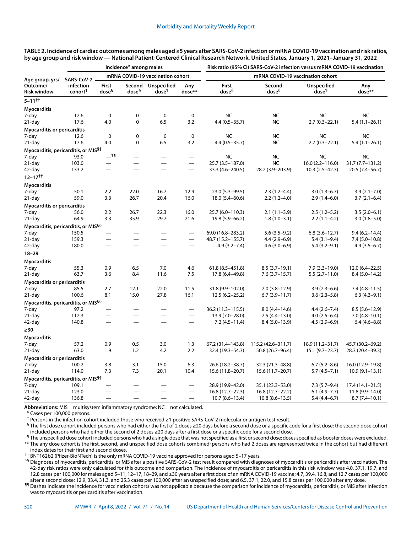|                                                   |                                  |                                  | Incidence* among males      |                             |                                 | Risk ratio (95% CI) SARS-CoV-2 infection versus mRNA COVID-19 vaccination |                             |                                         |                     |  |
|---------------------------------------------------|----------------------------------|----------------------------------|-----------------------------|-----------------------------|---------------------------------|---------------------------------------------------------------------------|-----------------------------|-----------------------------------------|---------------------|--|
| Age group, yrs/<br>Outcome/<br><b>Risk window</b> | SARS-CoV-2 -                     | mRNA COVID-19 vaccination cohort |                             |                             |                                 | mRNA COVID-19 vaccination cohort                                          |                             |                                         |                     |  |
|                                                   | infection<br>cohort <sup>+</sup> | First<br>dose <sup>§</sup>       | Second<br>dose <sup>§</sup> | <b>Unspecified</b><br>dose¶ | Any<br>dose**                   | First<br>dose§                                                            | Second<br>dose <sup>§</sup> | <b>Unspecified</b><br>dose <sup>¶</sup> | Any<br>dose**       |  |
| $5 - 11^{++}$                                     |                                  |                                  |                             |                             |                                 |                                                                           |                             |                                         |                     |  |
| <b>Myocarditis</b>                                |                                  |                                  |                             |                             |                                 |                                                                           |                             |                                         |                     |  |
| 7-day                                             | 12.6                             | $\mathbf 0$                      | 0                           | $\mathbf 0$                 | $\mathbf 0$                     | <b>NC</b>                                                                 | <b>NC</b>                   | <b>NC</b>                               | <b>NC</b>           |  |
| 21-day                                            | 17.6                             | 4.0                              | 0                           | 6.5                         | 3.2                             | $4.4(0.5 - 35.7)$                                                         | NC                          | $2.7(0.3-22.1)$                         | $5.4(1.1-26.1)$     |  |
| Myocarditis or pericarditis                       |                                  |                                  |                             |                             |                                 |                                                                           |                             |                                         |                     |  |
| 7-day                                             | 12.6                             | $\mathbf 0$                      | 0                           | 0                           | $\mathbf 0$                     | <b>NC</b>                                                                 | NC                          | NC                                      | <b>NC</b>           |  |
| $21$ -day                                         | 17.6                             | 4.0                              | 0                           | 6.5                         | 3.2                             | $4.4(0.5 - 35.7)$                                                         | <b>NC</b>                   | $2.7(0.3 - 22.1)$                       | $5.4(1.1-26.1)$     |  |
| Myocarditis, pericarditis, or MIS <sup>§§</sup>   |                                  |                                  |                             |                             |                                 |                                                                           |                             |                                         |                     |  |
| 7-day                                             | 93.0                             | $-$ 11                           | $\equiv$                    | —                           | —                               | <b>NC</b>                                                                 | <b>NC</b>                   | <b>NC</b>                               | <b>NC</b>           |  |
| 21-day                                            | 103.0                            | $\overline{\phantom{0}}$         | $\overline{\phantom{0}}$    | $\overline{\phantom{0}}$    | $\overline{\phantom{0}}$        | 25.7 (3.5-187.0)                                                          | NC                          | $16.0(2.2 - 116.0)$                     | 31.7 (7.7-131.2)    |  |
| 42-day                                            | 133.2                            |                                  |                             | $\equiv$                    | $\overbrace{\qquad \qquad }^{}$ | 33.3 (4.6 - 240.5)                                                        | 28.2 (3.9-203.9)            | $10.3(2.5-42.3)$                        | 20.5 (7.4-56.7)     |  |
| $12 - 17^{++}$                                    |                                  |                                  |                             |                             |                                 |                                                                           |                             |                                         |                     |  |
| <b>Myocarditis</b>                                |                                  |                                  |                             |                             |                                 |                                                                           |                             |                                         |                     |  |
| 7-day                                             | 50.1                             | 2.2                              | 22.0                        | 16.7                        | 12.9                            | 23.0 (5.3-99.5)                                                           | $2.3(1.2-4.4)$              | $3.0(1.3-6.7)$                          | $3.9(2.1 - 7.0)$    |  |
| 21-day                                            | 59.0                             | 3.3                              | 26.7                        | 20.4                        | 16.0                            | $18.0(5.4 - 60.6)$                                                        | $2.2(1.2-4.0)$              | $2.9(1.4-6.0)$                          | $3.7(2.1-6.4)$      |  |
| <b>Myocarditis or pericarditis</b>                |                                  |                                  |                             |                             |                                 |                                                                           |                             |                                         |                     |  |
| 7-day                                             | 56.0                             | 2.2                              | 26.7                        | 22.3                        | 16.0                            | 25.7 (6.0-110.3)                                                          | $2.1(1.1-3.9)$              | $2.5(1.2-5.2)$                          | $3.5(2.0-6.1)$      |  |
| 21-day                                            | 64.9                             | 3.3                              | 35.9                        | 29.7                        | 21.6                            | 19.8 (5.9 - 66.2)                                                         | $1.8(1.0-3.1)$              | $2.2(1.1-4.2)$                          | $3.0(1.8 - 5.0)$    |  |
| Myocarditis, pericarditis, or MIS <sup>§§</sup>   |                                  |                                  |                             |                             |                                 |                                                                           |                             |                                         |                     |  |
| 7-day                                             | 150.5                            | $\overline{\phantom{0}}$         |                             |                             | $\overline{\phantom{0}}$        | 69.0 (16.8-283.2)                                                         | $5.6(3.5-9.2)$              | $6.8(3.6 - 12.7)$                       | $9.4(6.2 - 14.4)$   |  |
| 21-day                                            | 159.3                            |                                  |                             | —<br>——                     | —                               | 48.7 (15.2-155.7)                                                         | $4.4(2.9-6.9)$              | $5.4(3.1-9.4)$                          | $7.4(5.0-10.8)$     |  |
| 42-day                                            | 180.0                            | $\overline{\phantom{0}}$         |                             | $\overline{\phantom{0}}$    | $\overline{\phantom{0}}$        | $4.9(3.2 - 7.4)$                                                          | $4.6(3.0-6.9)$              | $5.4(3.2 - 9.1)$                        | $4.9(3.5-6.7)$      |  |
| $18 - 29$                                         |                                  |                                  |                             |                             |                                 |                                                                           |                             |                                         |                     |  |
| <b>Myocarditis</b>                                |                                  |                                  |                             |                             |                                 |                                                                           |                             |                                         |                     |  |
| 7-day                                             | 55.3                             | 0.9                              | 6.5                         | 7.0                         | 4.6                             | $61.8(8.5 - 451.8)$                                                       | $8.5(3.7-19.1)$             | $7.9(3.3-19.0)$                         | $12.0(6.4-22.5)$    |  |
| 21-day                                            | 63.7                             | 3.6                              | 8.4                         | 11.6                        | 7.5                             | 17.8 (6.4-49.8)                                                           | $7.6(3.7-15.7)$             | $5.5(2.7-11.0)$                         | $8.4(5.0-14.2)$     |  |
| Myocarditis or pericarditis                       |                                  |                                  |                             |                             |                                 |                                                                           |                             |                                         |                     |  |
| 7-day                                             | 85.5                             | 2.7                              | 12.1                        | 22.0                        | 11.5                            | 31.8 (9.9-102.0)                                                          | $7.0(3.8-12.9)$             | $3.9(2.3-6.6)$                          | $7.4(4.8 - 11.5)$   |  |
| $21$ -day                                         | 100.6                            | 8.1                              | 15.0                        | 27.8                        | 16.1                            | $12.5(6.2 - 25.2)$                                                        | $6.7(3.9-11.7)$             | $3.6(2.3-5.8)$                          | $6.3(4.3-9.1)$      |  |
| Myocarditis, pericarditis, or MIS <sup>§§</sup>   |                                  |                                  |                             |                             |                                 |                                                                           |                             |                                         |                     |  |
| 7-day                                             | 97.2                             |                                  |                             |                             | $\overline{\phantom{0}}$        | 36.2 (11.3–115.5)                                                         | $8.0(4.4 - 14.6)$           | $4.4(2.6 - 7.4)$                        | $8.5(5.6 - 12.9)$   |  |
| $21$ -day                                         | 112.3                            |                                  |                             |                             |                                 | 13.9 (7.0-28.0)                                                           | $7.5(4.4 - 13.0)$           | $4.0(2.5-6.4)$                          | $7.0(4.8-10.1)$     |  |
| 42-day                                            | 140.8                            | $\overline{\phantom{0}}$         | $\overline{\phantom{0}}$    | $\equiv$                    | $\overline{\phantom{0}}$        | $7.2(4.5-11.4)$                                                           | $8.4(5.0-13.9)$             | $4.5(2.9-6.9)$                          | $6.4(4.6-8.8)$      |  |
| $\geq 30$                                         |                                  |                                  |                             |                             |                                 |                                                                           |                             |                                         |                     |  |
| <b>Myocarditis</b>                                |                                  |                                  |                             |                             |                                 |                                                                           |                             |                                         |                     |  |
| 7-day                                             | 57.2                             | 0.9                              | 0.5                         | 3.0                         | 1.3                             | 67.2 (31.4-143.8)                                                         | 115.2 (42.6-311.7)          | 18.9 (11.2-31.7)                        | 45.7 (30.2-69.2)    |  |
| 21-day                                            | 63.0                             | 1.9                              | 1.2                         | 4.2                         | 2.2                             | 32.4 (19.3 - 54.3)                                                        | 50.8 (26.7-96.4)            | $15.1 (9.7 - 23.7)$                     | 28.3 (20.4-39.3)    |  |
| Myocarditis or pericarditis                       |                                  |                                  |                             |                             |                                 |                                                                           |                             |                                         |                     |  |
| 7-day                                             | 100.2                            | 3.8                              | 3.1                         | 15.0                        | 6.3                             | 26.6 (18.2-38.7)                                                          | 32.3 (21.3-48.8)            | $6.7(5.2 - 8.6)$                        | 16.0 (12.9-19.8)    |  |
| 21-day                                            | 114.0                            | 7.3                              | 7.3                         | 20.1                        | 10.4                            | 15.6 (11.8-20.7)                                                          | 15.6 (11.7–20.7)            | $5.7(4.5 - 7.1)$                        | $10.9(9.1-13.1)$    |  |
| Myocarditis, pericarditis, or MIS <sup>§§</sup>   |                                  |                                  |                             |                             |                                 |                                                                           |                             |                                         |                     |  |
| 7-day                                             | 109.1                            |                                  |                             |                             |                                 | 28.9 (19.9-42.0)                                                          | 35.1 (23.3 - 53.0)          | $7.3(5.7-9.4)$                          | $17.4(14.1 - 21.5)$ |  |
| 21-day                                            | 123.0                            |                                  |                             |                             |                                 | $16.8(12.7 - 22.3)$                                                       | $16.8(12.7 - 22.2)$         | $6.1(4.9 - 7.7)$                        | $11.8(9.9 - 14.0)$  |  |
| 42-day                                            | 136.8                            |                                  | $\overline{\phantom{0}}$    |                             | $\overline{\phantom{0}}$        | $10.7(8.6 - 13.4)$                                                        | $10.8(8.6 - 13.5)$          | $5.4(4.4-6.7)$                          | $8.7(7.4-10.1)$     |  |

**TABLE 2. Incidence of cardiac outcomes among males aged ≥5 years after SARS-CoV-2 infection or mRNA COVID-19 vaccination and risk ratios, by age group and risk window — National Patient-Centered Clinical Research Network, United States, January 1, 2021–January 31, 2022**

**Abbreviations:** MIS = multisystem inflammatory syndrome; NC = not calculated.

\* Cases per 100,000 persons.

† Persons in the infection cohort included those who received ≥1 positive SARS-CoV-2 molecular or antigen test result.

§ The first dose cohort included persons who had either the first of 2 doses ≥20 days before a second dose or a specific code for a first dose; the second dose cohort included persons who had either the second of 2 doses ≥20 days after a first dose or a specific code for a second dose.

¶ The unspecified dose cohort included persons who had a single dose that was not specified as a first or second dose; doses specified as booster doses were excluded. \*\* The any dose cohort is the first, second, and unspecified dose cohorts combined; persons who had 2 doses are represented twice in the cohort but had different index dates for their first and second doses.

†† BNT162b2 (Pfizer-BioNTech) is the only mRNA COVID-19 vaccine approved for persons aged 5–17 years.

§§ Diagnoses of myocarditis, pericarditis, or MIS after a positive SARS-CoV-2 test result compared with diagnoses of myocarditis or pericarditis after vaccination. The 42-day risk ratios were only calculated for this outcome and comparison. The incidence of myocarditis or pericarditis in this risk window was 4.0, 37.1, 19.7, and 12.8 cases per 100,000 for males aged 5–11, 12–17, 18–29, and ≥30 years after a first dose of an mRNA COVID-19 vaccine; 4.7, 39.4, 16.8, and 12.7 cases per 100,000 after a second dose; 12.9, 33.4, 31.3, and 25.3 cases per 100,000 after an unspecified dose; and 6.5, 37.1, 22.0, and 15.8 cases per 100,000 after any dose.

¶¶ Dashes indicate the incidence for vaccination cohorts was not applicable because the comparison for incidence of myocarditis, pericarditis, or MIS after infection was to myocarditis or pericarditis after vaccination.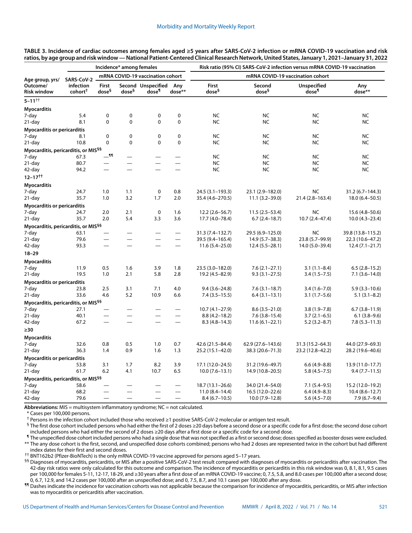|                                                   | Incidence* among females         |                                  |                          |                             |                          | Risk ratio (95% CI) SARS-CoV-2 infection versus mRNA COVID-19 vaccination |                             |                                         |                    |  |
|---------------------------------------------------|----------------------------------|----------------------------------|--------------------------|-----------------------------|--------------------------|---------------------------------------------------------------------------|-----------------------------|-----------------------------------------|--------------------|--|
| Age group, yrs/<br>Outcome/<br><b>Risk window</b> | SARS-CoV-2                       | mRNA COVID-19 vaccination cohort |                          |                             |                          | mRNA COVID-19 vaccination cohort                                          |                             |                                         |                    |  |
|                                                   | infection<br>cohort <sup>+</sup> | First<br>dose <sup>§</sup>       | dose <sup>§</sup>        | Second Unspecified<br>dose¶ | Any<br>dose**            | <b>First</b><br>dose <sup>§</sup>                                         | Second<br>dose <sup>§</sup> | <b>Unspecified</b><br>dose <sup>¶</sup> | Any<br>dose**      |  |
| $5 - 11^{++}$                                     |                                  |                                  |                          |                             |                          |                                                                           |                             |                                         |                    |  |
| <b>Myocarditis</b>                                |                                  |                                  |                          |                             |                          |                                                                           |                             |                                         |                    |  |
| 7-day                                             | 5.4                              | 0                                | $\mathbf 0$              | 0                           | 0                        | NC                                                                        | <b>NC</b>                   | <b>NC</b>                               | <b>NC</b>          |  |
| 21-day                                            | 8.1                              | 0                                | $\mathbf 0$              | $\mathbf 0$                 | $\Omega$                 | <b>NC</b>                                                                 | <b>NC</b>                   | <b>NC</b>                               | <b>NC</b>          |  |
| <b>Myocarditis or pericarditis</b>                |                                  |                                  |                          |                             |                          |                                                                           |                             |                                         |                    |  |
| 7-day                                             | 8.1                              | 0                                | $\mathbf 0$              | $\mathbf 0$                 | 0                        | <b>NC</b>                                                                 | <b>NC</b>                   | <b>NC</b>                               | <b>NC</b>          |  |
| 21-day                                            | 10.8                             | 0                                | 0                        | $\mathbf 0$                 | 0                        | <b>NC</b>                                                                 | <b>NC</b>                   | <b>NC</b>                               | NC                 |  |
| Myocarditis, pericarditis, or MIS <sup>§§</sup>   |                                  |                                  |                          |                             |                          |                                                                           |                             |                                         |                    |  |
| 7-day                                             | 67.3                             | $-$ 11                           | $\equiv$                 |                             |                          | <b>NC</b>                                                                 | <b>NC</b>                   | <b>NC</b>                               | <b>NC</b>          |  |
| $21$ -day                                         | 80.7                             |                                  | $\overline{\phantom{0}}$ | $\overline{\phantom{0}}$    |                          | <b>NC</b>                                                                 | <b>NC</b>                   | <b>NC</b>                               | <b>NC</b>          |  |
| 42-day                                            | 94.2                             | $\overline{\phantom{0}}$         |                          | $\overline{\phantom{0}}$    |                          | <b>NC</b>                                                                 | <b>NC</b>                   | <b>NC</b>                               | <b>NC</b>          |  |
| $12 - 17$ <sup>††</sup>                           |                                  |                                  |                          |                             |                          |                                                                           |                             |                                         |                    |  |
| <b>Myocarditis</b>                                |                                  |                                  |                          |                             |                          |                                                                           |                             |                                         |                    |  |
| 7-day                                             | 24.7                             | 1.0                              | 1.1                      | $\mathbf 0$                 | 0.8                      | 24.5 (3.1–193.3)                                                          | 23.1 (2.9-182.0)            | <b>NC</b>                               | 31.2 (6.7–144.3)   |  |
| 21-day                                            | 35.7                             | 1.0                              | 3.2                      | 1.7                         | 2.0                      | 35.4 (4.6-270.5)                                                          | $11.1(3.2 - 39.0)$          | 21.4 (2.8-163.4)                        | $18.0(6.4 - 50.5)$ |  |
| Myocarditis or pericarditis                       |                                  |                                  |                          |                             |                          |                                                                           |                             |                                         |                    |  |
| 7-day                                             | 24.7                             | 2.0                              | 2.1                      | $\pmb{0}$                   | 1.6                      | $12.2(2.6 - 56.7)$                                                        | $11.5(2.5-53.4)$            | <b>NC</b>                               | 15.6 (4.8-50.6)    |  |
| $21$ -day                                         | 35.7                             | 2.0                              | 5.4                      | 3.3                         | 3.6                      | 17.7 (4.0-78.4)                                                           | $6.7(2.4-18.7)$             | $10.7(2.4 - 47.4)$                      | $10.0(4.3-23.4)$   |  |
| Myocarditis, pericarditis, or MIS <sup>§§</sup>   |                                  |                                  |                          |                             |                          |                                                                           |                             |                                         |                    |  |
| 7-day                                             | 63.1                             | $\overline{\phantom{0}}$         |                          |                             | $\qquad \qquad -$        | 31.3 (7.4-132.7)                                                          | 29.5 (6.9-125.0)            | <b>NC</b>                               | 39.8 (13.8-115.2)  |  |
| 21-day                                            | 79.6                             |                                  | $\equiv$                 | $\overline{\phantom{0}}$    | $\overline{\phantom{0}}$ | 39.5 (9.4-165.4)                                                          | 14.9 (5.7–38.3)             | 23.8 (5.7-99.9)                         | 22.3 (10.6-47.2)   |  |
| 42-day                                            | 93.3                             | $\qquad \qquad -$                | $\overline{\phantom{0}}$ | $\overline{\phantom{0}}$    | $\qquad \qquad -$        | $11.6(5.4 - 25.0)$                                                        | $12.4(5.5-28.1)$            | 14.0 (5.0–39.4)                         | $12.4(7.1-21.7)$   |  |
| $18 - 29$                                         |                                  |                                  |                          |                             |                          |                                                                           |                             |                                         |                    |  |
| <b>Myocarditis</b>                                |                                  |                                  |                          |                             |                          |                                                                           |                             |                                         |                    |  |
| 7-day                                             | 11.9                             | 0.5                              | 1.6                      | 3.9                         | 1.8                      | 23.5 (3.0-182.0)                                                          | $7.6(2.1-27.1)$             | $3.1(1.1 - 8.4)$                        | $6.5(2.8-15.2)$    |  |
| 21-day                                            | 19.5                             | 1.0                              | 2.1                      | 5.8                         | 2.8                      | 19.2 (4.5-82.9)                                                           | $9.3(3.1 - 27.5)$           | $3.4(1.5 - 7.5)$                        | $7.1(3.6-14.0)$    |  |
| Myocarditis or pericarditis                       |                                  |                                  |                          |                             |                          |                                                                           |                             |                                         |                    |  |
| 7-day                                             | 23.8                             | 2.5                              | 3.1                      | 7.1                         | 4.0                      | $9.4(3.6 - 24.8)$                                                         | $7.6(3.1-18.7)$             | $3.4(1.6 - 7.0)$                        | $5.9(3.3-10.6)$    |  |
| 21-day                                            | 33.6                             | 4.6                              | 5.2                      | 10.9                        | 6.6                      | $7.4(3.5-15.5)$                                                           | $6.4(3.1-13.1)$             | $3.1(1.7-5.6)$                          | $5.1(3.1 - 8.2)$   |  |
| Myocarditis, pericarditis, or MIS <sup>§§</sup>   |                                  |                                  |                          |                             |                          |                                                                           |                             |                                         |                    |  |
| 7-day                                             | 27.1                             |                                  |                          |                             | $\qquad \qquad -$        | $10.7(4.1 - 27.9)$                                                        | $8.6(3.5 - 21.0)$           | $3.8(1.9 - 7.8)$                        | $6.7(3.8-11.9)$    |  |
| 21-day                                            | 40.1                             |                                  | $\overline{\phantom{0}}$ |                             |                          | $8.8(4.2 - 18.2)$                                                         | $7.6(3.8-15.4)$             | $3.7(2.1-6.5)$                          | $6.1(3.8-9.6)$     |  |
| 42-day                                            | 67.2                             | $\overline{\phantom{0}}$         | $\overline{\phantom{0}}$ | $\overline{\phantom{0}}$    |                          | $8.3(4.8-14.3)$                                                           | $11.6(6.1 - 22.1)$          | $5.2(3.2 - 8.7)$                        | $7.8(5.3 - 11.3)$  |  |
| $\geq 30$                                         |                                  |                                  |                          |                             |                          |                                                                           |                             |                                         |                    |  |
| <b>Myocarditis</b>                                |                                  |                                  |                          |                             |                          |                                                                           |                             |                                         |                    |  |
| 7-day                                             | 32.6                             | 0.8                              | 0.5                      | 1.0                         | 0.7                      | 42.6 (21.5-84.4)                                                          | 62.9 (27.6-143.6)           | 31.3 (15.2-64.3)                        | 44.0 (27.9-69.3)   |  |
| 21-day                                            | 36.3                             | 1.4                              | 0.9                      | 1.6                         | 1.3                      | 25.2 (15.1–42.0)                                                          | 38.3 (20.6–71.3)            | 23.2 (12.8–42.2)                        | 28.2 (19.6–40.6)   |  |
| <b>Myocarditis or pericarditis</b>                |                                  |                                  |                          |                             |                          |                                                                           |                             |                                         |                    |  |
| 7-day                                             | 53.8                             | 3.1                              | 1.7                      | 8.2                         | 3.9                      | 17.1 (12.0–24.5)                                                          | 31.2 (19.6-49.7)            | $6.6(4.9 - 8.8)$                        | 13.9 (11.0-17.7)   |  |
| 21-day                                            | 61.7                             | 6.2                              | 4.1                      | 10.7                        | 6.5                      | $10.0(7.6-13.1)$                                                          | 14.9 (10.8-20.5)            | $5.8(4.5 - 7.5)$                        | $9.4(7.7-11.5)$    |  |
| Myocarditis, pericarditis, or MIS <sup>§§</sup>   |                                  |                                  |                          |                             |                          |                                                                           |                             |                                         |                    |  |
| 7-day                                             | 58.6                             |                                  |                          |                             |                          | 18.7 (13.1-26.6)                                                          | 34.0 (21.4-54.0)            | $7.1(5.4-9.5)$                          | 15.2 (12.0-19.2)   |  |
| 21-day                                            | 68.2                             |                                  |                          |                             |                          | $11.0(8.4 - 14.4)$                                                        | 16.5 (12.0-22.6)            | $6.4(4.9-8.3)$                          | $10.4(8.6 - 12.7)$ |  |
| 42-day                                            | 79.6                             |                                  |                          |                             |                          | $8.4(6.7-10.5)$                                                           | $10.0(7.9-12.8)$            | $5.6(4.5 - 7.0)$                        | $7.9(6.7-9.4)$     |  |

**TABLE 3. Incidence of cardiac outcomes among females aged ≥5 years after SARS-CoV-2 infection or mRNA COVID-19 vaccination and risk ratios, by age group and risk window — National Patient-Centered Clinical Research Network, United States, January 1, 2021–January 31, 2022**

**Abbreviations:** MIS = multisystem inflammatory syndrome; NC = not calculated.

\* Cases per 100,000 persons.

† Persons in the infection cohort included those who received ≥1 positive SARS-CoV-2 molecular or antigen test result.

§ The first dose cohort included persons who had either the first of 2 doses ≥20 days before a second dose or a specific code for a first dose; the second dose cohort included persons who had either the second of 2 doses ≥20 days after a first dose or a specific code for a second dose.

¶ The unspecified dose cohort included persons who had a single dose that was not specified as a first or second dose; doses specified as booster doses were excluded. \*\* The any dose cohort is the first, second, and unspecified dose cohorts combined; persons who had 2 doses are represented twice in the cohort but had different index dates for their first and second doses.

†† BNT162b2 (Pfizer-BioNTech) is the only mRNA COVID-19 vaccine approved for persons aged 5–17 years.

§§ Diagnoses of myocarditis, pericarditis, or MIS after a positive SARS-CoV-2 test result compared with diagnoses of myocarditis or pericarditis after vaccination. The 42-day risk ratios were only calculated for this outcome and comparison. The incidence of myocarditis or pericarditis in this risk window was 0, 8.1, 8.1, 9.5 cases per 100,000 for females 5-11, 12-17, 18-29, and ≥30 years after a first dose of an mRNA COVID-19 vaccine; 0, 7.5, 5.8, and 8.0 cases per 100,000 after a second dose; 0, 6.7, 12.9, and 14.2 cases per 100,000 after an unspecified dose; and 0, 7.5, 8.7, and 10.1 cases per 100,000 after any dose.

¶¶ Dashes indicate the incidence for vaccination cohorts was not applicable because the comparison for incidence of myocarditis, pericarditis, or MIS after infection was to myocarditis or pericarditis after vaccination.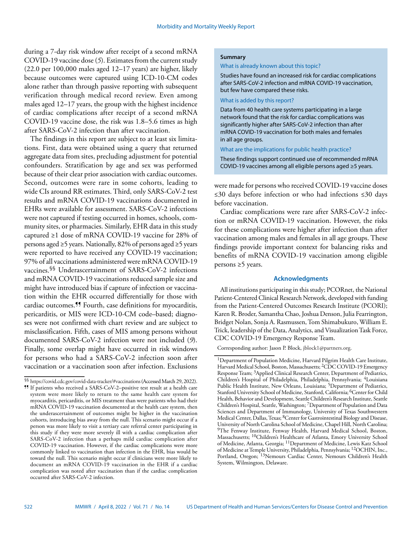during a 7-day risk window after receipt of a second mRNA COVID-19 vaccine dose (*5*). Estimates from the current study (22.0 per 100,000 males aged 12–17 years) are higher, likely because outcomes were captured using ICD-10-CM codes alone rather than through passive reporting with subsequent verification through medical record review. Even among males aged 12–17 years, the group with the highest incidence of cardiac complications after receipt of a second mRNA COVID-19 vaccine dose, the risk was 1.8–5.6 times as high after SARS-CoV-2 infection than after vaccination.

The findings in this report are subject to at least six limitations. First, data were obtained using a query that returned aggregate data from sites, precluding adjustment for potential confounders. Stratification by age and sex was performed because of their clear prior association with cardiac outcomes. Second, outcomes were rare in some cohorts, leading to wide CIs around RR estimates. Third, only SARS-CoV-2 test results and mRNA COVID-19 vaccinations documented in EHRs were available for assessment. SARS-CoV-2 infections were not captured if testing occurred in homes, schools, community sites, or pharmacies. Similarly, EHR data in this study captured ≥1 dose of mRNA COVID-19 vaccine for 28% of persons aged ≥5 years. Nationally, 82% of persons aged ≥5 years were reported to have received any COVID-19 vaccination; 97% of all vaccinations administered were mRNA COVID-19 vaccines.§§ Underascertainment of SARS-CoV-2 infections and mRNA COVID-19 vaccinations reduced sample size and might have introduced bias if capture of infection or vaccination within the EHR occurred differentially for those with cardiac outcomes.¶¶ Fourth, case definitions for myocarditis, pericarditis, or MIS were ICD-10-CM code–based; diagnoses were not confirmed with chart review and are subject to misclassification. Fifth, cases of MIS among persons without documented SARS-CoV-2 infection were not included (*9*). Finally, some overlap might have occurred in risk windows for persons who had a SARS-CoV-2 infection soon after vaccination or a vaccination soon after infection. Exclusions

## **Summary**

#### What is already known about this topic?

Studies have found an increased risk for cardiac complications after SARS-CoV-2 infection and mRNA COVID-19 vaccination, but few have compared these risks.

#### What is added by this report?

Data from 40 health care systems participating in a large network found that the risk for cardiac complications was significantly higher after SARS-CoV-2 infection than after mRNA COVID-19 vaccination for both males and females in all age groups.

#### What are the implications for public health practice?

These findings support continued use of recommended mRNA COVID-19 vaccines among all eligible persons aged ≥5 years.

were made for persons who received COVID-19 vaccine doses ≤30 days before infection or who had infections ≤30 days before vaccination.

Cardiac complications were rare after SARS-CoV-2 infection or mRNA COVID-19 vaccination. However, the risks for these complications were higher after infection than after vaccination among males and females in all age groups. These findings provide important context for balancing risks and benefits of mRNA COVID-19 vaccination among eligible persons ≥5 years.

#### **Acknowledgments**

All institutions participating in this study; PCORnet, the National Patient-Centered Clinical Research Network, developed with funding from the Patient-Centered Outcomes Research Institute (PCORI); Karen R. Broder, Samantha Chao, Joshua Denson, Julia Fearrington, Bridget Nolan, Sonja A. Rasmussen, Tom Shimabukuro, William E. Trick, leadership of the Data, Analytics, and Visualization Task Force, CDC COVID-19 Emergency Response Team.

Corresponding author: Jason P. Block, [jblock1@partners.org.](mailto:jblock1@partners.org)

<sup>§§</sup> <https://covid.cdc.gov/covid-data-tracker/#vaccinations>(Accessed March 29, 2022).

<sup>¶¶</sup> If patients who received a SARS-CoV-2–positive test result at a health care system were more likely to return to the same health care system for myocarditis, pericarditis, or MIS treatment than were patients who had their mRNA COVID-19 vaccination documented at the health care system, then the underascertainment of outcomes might be higher in the vaccination cohorts, introducing bias away from the null. This scenario might occur if a person was more likely to visit a tertiary care referral center participating in this study if they were more severely ill with a cardiac complication after SARS-CoV-2 infection than a perhaps mild cardiac complication after COVID-19 vaccination. However, if the cardiac complications were more commonly linked to vaccination than infection in the EHR, bias would be toward the null. This scenario might occur if clinicians were more likely to document an mRNA COVID-19 vaccination in the EHR if a cardiac complication was noted after vaccination than if the cardiac complication occurred after SARS-CoV-2 infection.

<sup>&</sup>lt;sup>1</sup>Department of Population Medicine, Harvard Pilgrim Health Care Institute, Harvard Medical School, Boston, Massachusetts; <sup>2</sup>CDC COVID-19 Emergency Response Team; 3Applied Clinical Research Center, Department of Pediatrics, Children's Hospital of Philadelphia, Philadelphia, Pennsylvania; 4Louisiana Public Health Institute, New Orleans, Louisiana; <sup>5</sup>Department of Pediatrics, Stanford University School of Medicine, Stanford, California; <sup>6</sup>Center for Child Health, Behavior and Development, Seattle Children's Research Institute, Seattle Children's Hospital, Seattle, Washington; 7Department of Population and Data Sciences and Department of Immunology, University of Texas Southwestern Medical Center, Dallas, Texas; 8Center for Gastrointestinal Biology and Disease, University of North Carolina School of Medicine, Chapel Hill, North Carolina; 9The Fenway Institute, Fenway Health, Harvard Medical School, Boston, Massachusetts; 10Children's Healthcare of Atlanta, Emory University School of Medicine, Atlanta, Georgia; 11Department of Medicine, Lewis Katz School of Medicine at Temple University, Philadelphia, Pennsylvania; 12OCHIN, Inc., Portland, Oregon; <sup>13</sup>Nemours Cardiac Center, Nemours Children's Health System, Wilmington, Delaware.